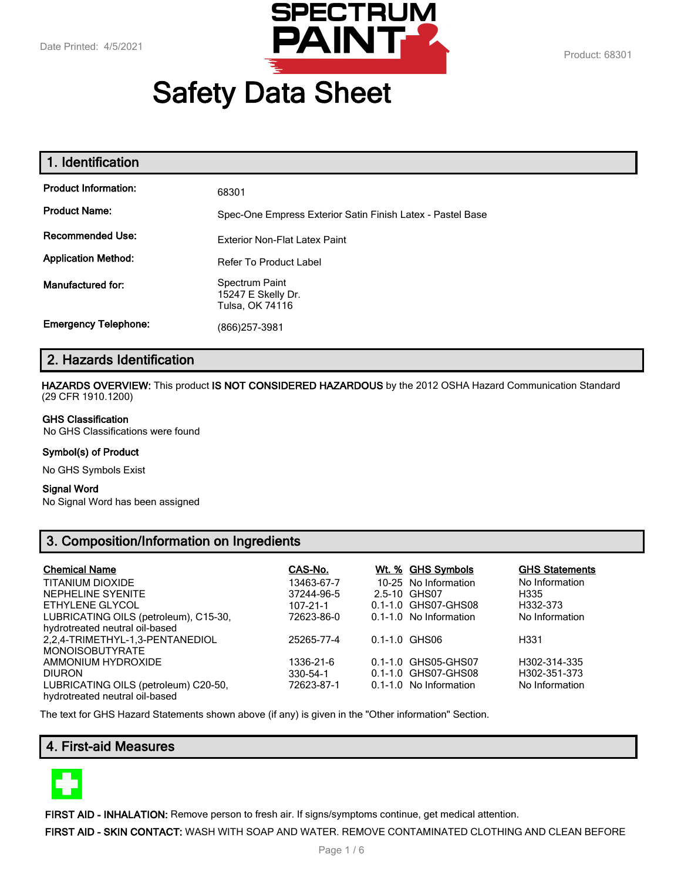

# **Safety Data Sheet**

| 1. Identification           |                                                            |
|-----------------------------|------------------------------------------------------------|
| <b>Product Information:</b> | 68301                                                      |
| <b>Product Name:</b>        | Spec-One Empress Exterior Satin Finish Latex - Pastel Base |
| <b>Recommended Use:</b>     | Exterior Non-Flat Latex Paint                              |
| <b>Application Method:</b>  | <b>Refer To Product Label</b>                              |
| Manufactured for:           | Spectrum Paint<br>15247 E Skelly Dr.<br>Tulsa, OK 74116    |
| <b>Emergency Telephone:</b> | (866)257-3981                                              |

# **2. Hazards Identification**

**HAZARDS OVERVIEW:** This product **IS NOT CONSIDERED HAZARDOUS** by the 2012 OSHA Hazard Communication Standard (29 CFR 1910.1200)

#### **GHS Classification**

No GHS Classifications were found

#### **Symbol(s) of Product**

No GHS Symbols Exist

#### **Signal Word**

No Signal Word has been assigned

# **3. Composition/Information on Ingredients**

| <b>Chemical Name</b>                                      | CAS-No.    | Wt. % GHS Symbols      | <b>GHS Statements</b> |
|-----------------------------------------------------------|------------|------------------------|-----------------------|
| TITANIUM DIOXIDE                                          | 13463-67-7 | 10-25 No Information   | No Information        |
| NEPHELINE SYENITE                                         | 37244-96-5 | 2.5-10 GHS07           | H335                  |
| ETHYLENE GLYCOL                                           | 107-21-1   | 0.1-1.0 GHS07-GHS08    | H332-373              |
| LUBRICATING OILS (petroleum), C15-30,                     | 72623-86-0 | 0.1-1.0 No Information | No Information        |
| hydrotreated neutral oil-based                            |            |                        |                       |
| 2,2,4-TRIMETHYL-1,3-PENTANEDIOL<br><b>MONOISOBUTYRATE</b> | 25265-77-4 | 0.1-1.0 GHS06          | H331                  |
| AMMONIUM HYDROXIDE                                        | 1336-21-6  | 0.1-1.0 GHS05-GHS07    | H302-314-335          |
| <b>DIURON</b>                                             | 330-54-1   | 0.1-1.0 GHS07-GHS08    | H302-351-373          |
| LUBRICATING OILS (petroleum) C20-50,                      | 72623-87-1 | 0.1-1.0 No Information | No Information        |
| hydrotreated neutral oil-based                            |            |                        |                       |

The text for GHS Hazard Statements shown above (if any) is given in the "Other information" Section.

# **4. First-aid Measures**



**FIRST AID - INHALATION:** Remove person to fresh air. If signs/symptoms continue, get medical attention.

**FIRST AID - SKIN CONTACT:** WASH WITH SOAP AND WATER. REMOVE CONTAMINATED CLOTHING AND CLEAN BEFORE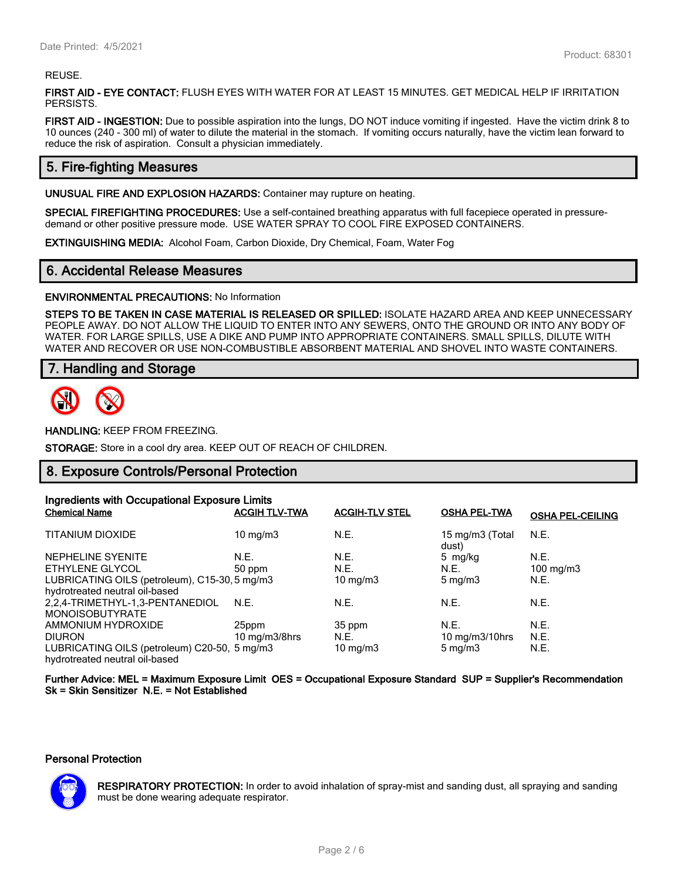#### REUSE.

**FIRST AID - EYE CONTACT:** FLUSH EYES WITH WATER FOR AT LEAST 15 MINUTES. GET MEDICAL HELP IF IRRITATION PERSISTS.

**FIRST AID - INGESTION:** Due to possible aspiration into the lungs, DO NOT induce vomiting if ingested. Have the victim drink 8 to 10 ounces (240 - 300 ml) of water to dilute the material in the stomach. If vomiting occurs naturally, have the victim lean forward to reduce the risk of aspiration. Consult a physician immediately.

## **5. Fire-fighting Measures**

**UNUSUAL FIRE AND EXPLOSION HAZARDS:** Container may rupture on heating.

**SPECIAL FIREFIGHTING PROCEDURES:** Use a self-contained breathing apparatus with full facepiece operated in pressuredemand or other positive pressure mode. USE WATER SPRAY TO COOL FIRE EXPOSED CONTAINERS.

**EXTINGUISHING MEDIA:** Alcohol Foam, Carbon Dioxide, Dry Chemical, Foam, Water Fog

## **6. Accidental Release Measures**

**ENVIRONMENTAL PRECAUTIONS:** No Information

**STEPS TO BE TAKEN IN CASE MATERIAL IS RELEASED OR SPILLED:** ISOLATE HAZARD AREA AND KEEP UNNECESSARY PEOPLE AWAY. DO NOT ALLOW THE LIQUID TO ENTER INTO ANY SEWERS, ONTO THE GROUND OR INTO ANY BODY OF WATER. FOR LARGE SPILLS, USE A DIKE AND PUMP INTO APPROPRIATE CONTAINERS. SMALL SPILLS, DILUTE WITH WATER AND RECOVER OR USE NON-COMBUSTIBLE ABSORBENT MATERIAL AND SHOVEL INTO WASTE CONTAINERS.

## **7. Handling and Storage**



**HANDLING:** KEEP FROM FREEZING.

**STORAGE:** Store in a cool dry area. KEEP OUT OF REACH OF CHILDREN.

## **8. Exposure Controls/Personal Protection**

| Ingredients with Occupational Exposure Limits |                      |                       |                          |                         |
|-----------------------------------------------|----------------------|-----------------------|--------------------------|-------------------------|
| <b>Chemical Name</b>                          | <b>ACGIH TLV-TWA</b> | <b>ACGIH-TLV STEL</b> | <b>OSHA PEL-TWA</b>      | <b>OSHA PEL-CEILING</b> |
| <b>TITANIUM DIOXIDE</b>                       | 10 mg/m $3$          | N.E.                  | 15 mg/m3 (Total<br>dust) | N.E.                    |
| NEPHELINE SYENITE                             | N.E.                 | N.E.                  | 5 mg/kg                  | N.E.                    |
| ETHYLENE GLYCOL                               | 50 ppm               | N.E.                  | N.E.                     | $100 \text{ mg/m}$ 3    |
| LUBRICATING OILS (petroleum), C15-30, 5 mg/m3 |                      | $10 \text{ mg/m}$     | $5 \text{ mg/m}$         | N.E.                    |
| hydrotreated neutral oil-based                |                      |                       |                          |                         |
| 2.2.4-TRIMETHYL-1.3-PENTANEDIOL               | N.E.                 | N.E.                  | N.E.                     | N.E.                    |
| <b>MONOISOBUTYRATE</b>                        |                      |                       |                          |                         |
| AMMONIUM HYDROXIDE                            | 25ppm                | 35 ppm                | N.E.                     | N.E.                    |
| <b>DIURON</b>                                 | 10 mg/m $3/8$ hrs    | N.E.                  | 10 $mg/m3/10$ hrs        | N.E.                    |
| LUBRICATING OILS (petroleum) C20-50, 5 mg/m3  |                      | 10 mg/m $3$           | $5 \text{ mg/m}$         | N.E.                    |
| hydrotreated neutral oil-based                |                      |                       |                          |                         |

**Further Advice: MEL = Maximum Exposure Limit OES = Occupational Exposure Standard SUP = Supplier's Recommendation Sk = Skin Sensitizer N.E. = Not Established**

#### **Personal Protection**



**RESPIRATORY PROTECTION:** In order to avoid inhalation of spray-mist and sanding dust, all spraying and sanding must be done wearing adequate respirator.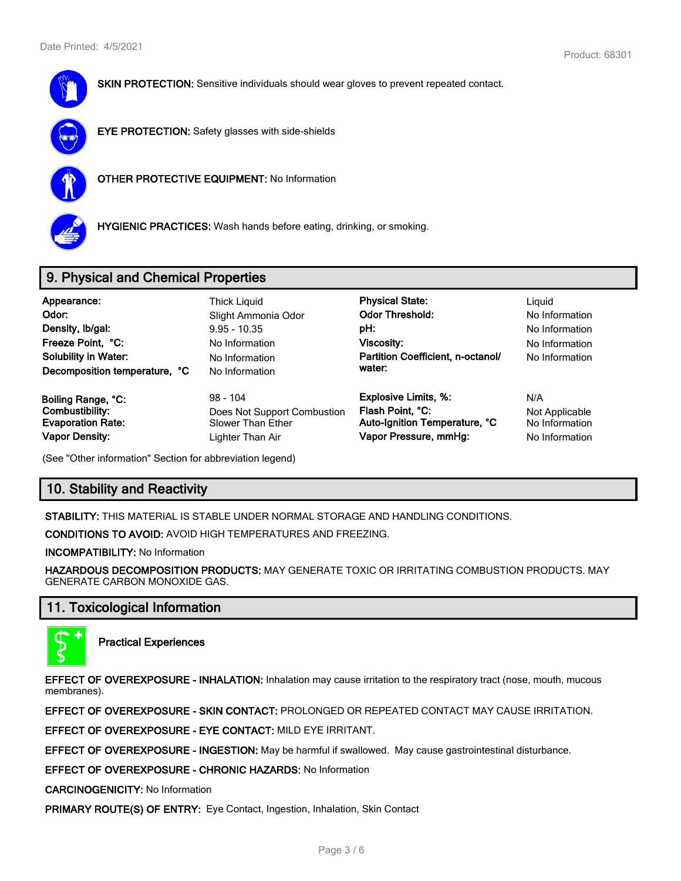

**SKIN PROTECTION:** Sensitive individuals should wear gloves to prevent repeated contact.



**EYE PROTECTION:** Safety glasses with side-shields



**OTHER PROTECTIVE EQUIPMENT:** No Information



**HYGIENIC PRACTICES:** Wash hands before eating, drinking, or smoking.

# **9. Physical and Chemical Properties**

| Appearance:<br>Odor:<br>Density, Ib/gal:<br>Freeze Point, °C:<br><b>Solubility in Water:</b><br>Decomposition temperature, °C | Thick Liguid<br>Slight Ammonia Odor<br>$9.95 - 10.35$<br>No Information<br>No Information<br>No Information | <b>Physical State:</b><br><b>Odor Threshold:</b><br>pH:<br>Viscosity:<br>Partition Coefficient, n-octanol/<br>water: | Liguid<br>No Information<br>No Information<br>No Information<br>No Information |
|-------------------------------------------------------------------------------------------------------------------------------|-------------------------------------------------------------------------------------------------------------|----------------------------------------------------------------------------------------------------------------------|--------------------------------------------------------------------------------|
| Boiling Range, °C:                                                                                                            | $98 - 104$                                                                                                  | <b>Explosive Limits, %:</b>                                                                                          | N/A                                                                            |
| Combustibility:                                                                                                               | Does Not Support Combustion                                                                                 | Flash Point, °C:                                                                                                     | Not Applicable                                                                 |
| <b>Evaporation Rate:</b>                                                                                                      | Slower Than Ether                                                                                           | Auto-Ignition Temperature, °C                                                                                        | No Information                                                                 |
| <b>Vapor Density:</b>                                                                                                         | Lighter Than Air                                                                                            | Vapor Pressure, mmHg:                                                                                                | No Information                                                                 |

(See "Other information" Section for abbreviation legend)

# **10. Stability and Reactivity**

**STABILITY:** THIS MATERIAL IS STABLE UNDER NORMAL STORAGE AND HANDLING CONDITIONS.

**CONDITIONS TO AVOID:** AVOID HIGH TEMPERATURES AND FREEZING.

**INCOMPATIBILITY:** No Information

**HAZARDOUS DECOMPOSITION PRODUCTS:** MAY GENERATE TOXIC OR IRRITATING COMBUSTION PRODUCTS. MAY GENERATE CARBON MONOXIDE GAS.

# **11. Toxicological Information**



**Practical Experiences**

**EFFECT OF OVEREXPOSURE - INHALATION:** Inhalation may cause irritation to the respiratory tract (nose, mouth, mucous membranes).

**EFFECT OF OVEREXPOSURE - SKIN CONTACT:** PROLONGED OR REPEATED CONTACT MAY CAUSE IRRITATION.

**EFFECT OF OVEREXPOSURE - EYE CONTACT:** MILD EYE IRRITANT.

**EFFECT OF OVEREXPOSURE - INGESTION:** May be harmful if swallowed. May cause gastrointestinal disturbance.

**EFFECT OF OVEREXPOSURE - CHRONIC HAZARDS:** No Information

**CARCINOGENICITY:** No Information

**PRIMARY ROUTE(S) OF ENTRY:** Eye Contact, Ingestion, Inhalation, Skin Contact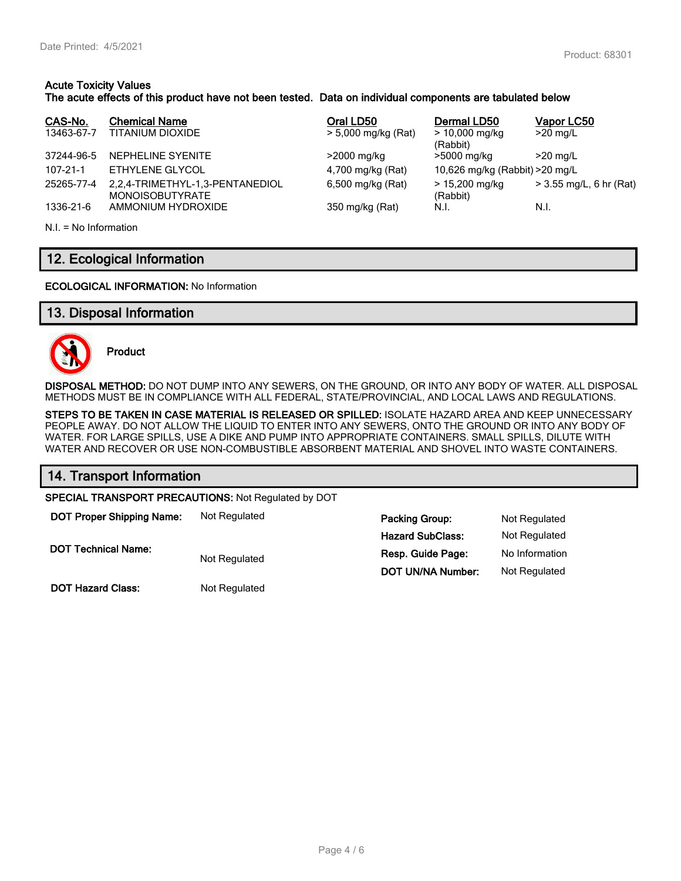### **Acute Toxicity Values The acute effects of this product have not been tested. Data on individual components are tabulated below**

| CAS-No.<br>13463-67-7 | <b>Chemical Name</b><br>TITANIUM DIOXIDE                  | Oral LD50<br>> 5,000 mg/kg (Rat) | Dermal LD50<br>$> 10,000$ mg/kg | Vapor LC50<br>$>20$ mg/L |
|-----------------------|-----------------------------------------------------------|----------------------------------|---------------------------------|--------------------------|
| 37244-96-5            | NEPHELINE SYENITE                                         | >2000 mg/kg                      | (Rabbit)<br>>5000 mg/kg         | $>20$ mg/L               |
| 107-21-1              | ETHYLENE GLYCOL                                           | 4,700 mg/kg (Rat)                | 10,626 mg/kg (Rabbit) > 20 mg/L |                          |
| 25265-77-4            | 2,2,4-TRIMETHYL-1,3-PENTANEDIOL<br><b>MONOISOBUTYRATE</b> | 6,500 mg/kg (Rat)                | > 15,200 mg/kg<br>(Rabbit)      | > 3.55 mg/L, 6 hr (Rat)  |
| 1336-21-6             | AMMONIUM HYDROXIDE                                        | 350 mg/kg (Rat)                  | N.I.                            | N.I.                     |

N.I. = No Information

# **12. Ecological Information**

#### **ECOLOGICAL INFORMATION:** No Information

## **13. Disposal Information**



**Product**

**DISPOSAL METHOD:** DO NOT DUMP INTO ANY SEWERS, ON THE GROUND, OR INTO ANY BODY OF WATER. ALL DISPOSAL METHODS MUST BE IN COMPLIANCE WITH ALL FEDERAL, STATE/PROVINCIAL, AND LOCAL LAWS AND REGULATIONS.

**STEPS TO BE TAKEN IN CASE MATERIAL IS RELEASED OR SPILLED:** ISOLATE HAZARD AREA AND KEEP UNNECESSARY PEOPLE AWAY. DO NOT ALLOW THE LIQUID TO ENTER INTO ANY SEWERS, ONTO THE GROUND OR INTO ANY BODY OF WATER. FOR LARGE SPILLS, USE A DIKE AND PUMP INTO APPROPRIATE CONTAINERS. SMALL SPILLS, DILUTE WITH WATER AND RECOVER OR USE NON-COMBUSTIBLE ABSORBENT MATERIAL AND SHOVEL INTO WASTE CONTAINERS.

| 14. Transport Information                           |               |                          |                |  |
|-----------------------------------------------------|---------------|--------------------------|----------------|--|
| SPECIAL TRANSPORT PRECAUTIONS: Not Regulated by DOT |               |                          |                |  |
| <b>DOT Proper Shipping Name:</b>                    | Not Regulated | <b>Packing Group:</b>    | Not Regulated  |  |
|                                                     |               | <b>Hazard SubClass:</b>  | Not Regulated  |  |
| <b>DOT Technical Name:</b>                          | Not Regulated | Resp. Guide Page:        | No Information |  |
|                                                     |               | <b>DOT UN/NA Number:</b> | Not Regulated  |  |

**DOT Hazard Class:** Not Regulated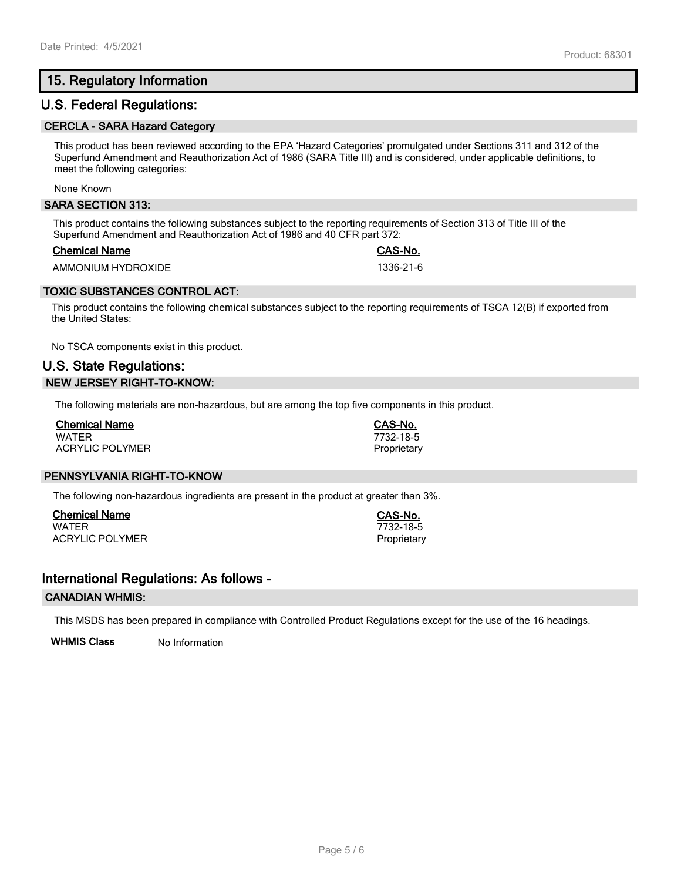# **15. Regulatory Information**

## **U.S. Federal Regulations:**

#### **CERCLA - SARA Hazard Category**

This product has been reviewed according to the EPA 'Hazard Categories' promulgated under Sections 311 and 312 of the Superfund Amendment and Reauthorization Act of 1986 (SARA Title III) and is considered, under applicable definitions, to meet the following categories:

None Known

#### **SARA SECTION 313:**

This product contains the following substances subject to the reporting requirements of Section 313 of Title III of the Superfund Amendment and Reauthorization Act of 1986 and 40 CFR part 372:

#### **Chemical Name CAS-No.**

AMMONIUM HYDROXIDE 1336-21-6

## **TOXIC SUBSTANCES CONTROL ACT:**

This product contains the following chemical substances subject to the reporting requirements of TSCA 12(B) if exported from the United States:

No TSCA components exist in this product.

# **U.S. State Regulations: NEW JERSEY RIGHT-TO-KNOW:**

The following materials are non-hazardous, but are among the top five components in this product.

| <b>Chemical Name</b>   |  |
|------------------------|--|
| <b>WATFR</b>           |  |
| <b>ACRYLIC POLYMER</b> |  |

## **PENNSYLVANIA RIGHT-TO-KNOW**

The following non-hazardous ingredients are present in the product at greater than 3%.

**Chemical Name CAS-No.** ACRYLIC POLYMER **Proprietary** Proprietary

## **International Regulations: As follows -**

#### **CANADIAN WHMIS:**

This MSDS has been prepared in compliance with Controlled Product Regulations except for the use of the 16 headings.

**WHMIS Class** No Information

WATER 7732-18-5

WATER 7732-18-5 Proprietary

**Chemical Name CAS-No.**